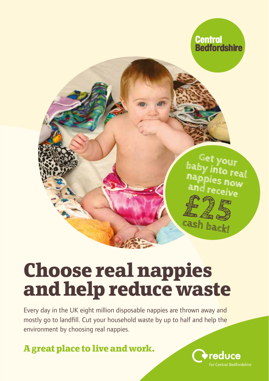

# **Choose real nappies and help reduce waste**

Every day in the UK eight million disposable nappies are thrown away and mostly go to landfill. Cut your household waste by up to half and help the environment by choosing real nappies.

**A great place to live and work.**

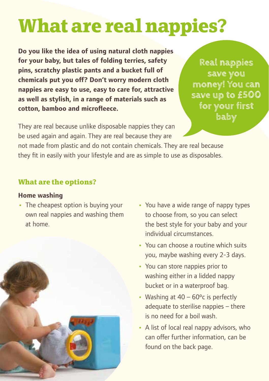# **What are real nappies?**

**Do you like the idea of using natural cloth nappies for your baby, but tales of folding terries, safety pins, scratchy plastic pants and a bucket full of chemicals put you off? Don't worry modern cloth nappies are easy to use, easy to care for, attractive as well as stylish, in a range of materials such as cotton, bamboo and microfleece.**

**Real nappies save you money! You can save up to £500 for your first baby** 

They are real because unlike disposable nappies they can be used again and again. They are real because they are

not made from plastic and do not contain chemicals. They are real because they fit in easily with your lifestyle and are as simple to use as disposables.

## **What are the options?**

### **Home washing**

**•** The cheapest option is buying your own real nappies and washing them at home.



- **•** You have a wide range of nappy types to choose from, so you can select the best style for your baby and your individual circumstances.
- **•** You can choose a routine which suits you, maybe washing every 2-3 days.
- **•** You can store nappies prior to washing either in a lidded nappy bucket or in a waterproof bag.
- Washing at 40 60°c is perfectly adequate to sterilise nappies – there is no need for a boil wash.
- **•** A list of local real nappy advisors, who can offer further information, can be found on the back page.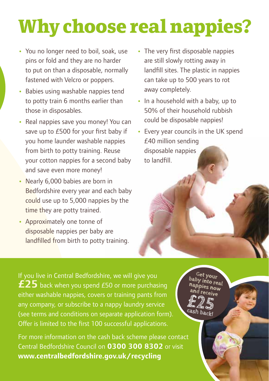# **Why choose real nappies?**

- **•** You no longer need to boil, soak, use pins or fold and they are no harder to put on than a disposable, normally fastened with Velcro or poppers.
- **•** Babies using washable nappies tend to potty train 6 months earlier than those in disposables.
- **•** Real nappies save you money! You can save up to £500 for your first baby if you home launder washable nappies from birth to potty training. Reuse your cotton nappies for a second baby and save even more money!
- **•** Nearly 6,000 babies are born in Bedfordshire every year and each baby could use up to 5,000 nappies by the time they are potty trained.
- **•** Approximately one tonne of disposable nappies per baby are landfilled from birth to potty training.
- **•** The very first disposable nappies are still slowly rotting away in landfill sites. The plastic in nappies can take up to 500 years to rot away completely.
- **•** In a household with a baby, up to 50% of their household rubbish could be disposable nappies!
- **•** Every year councils in the UK spend £40 million sending disposable nappies to landfill.

If you live in Central Bedfordshire, we will give you **£25** back when you spend £50 or more purchasing either washable nappies, covers or training pants from any company, or subscribe to a nappy laundry service (see terms and conditions on separate application form). Offer is limited to the first 100 successful applications.

For more information on the cash back scheme please contact Central Bedfordshire Council on **0300 300 8302** or visit **www.centralbedfordshire.gov.uk/recycling**

**Get your baby into real nappies now and receive £25 cash back!**